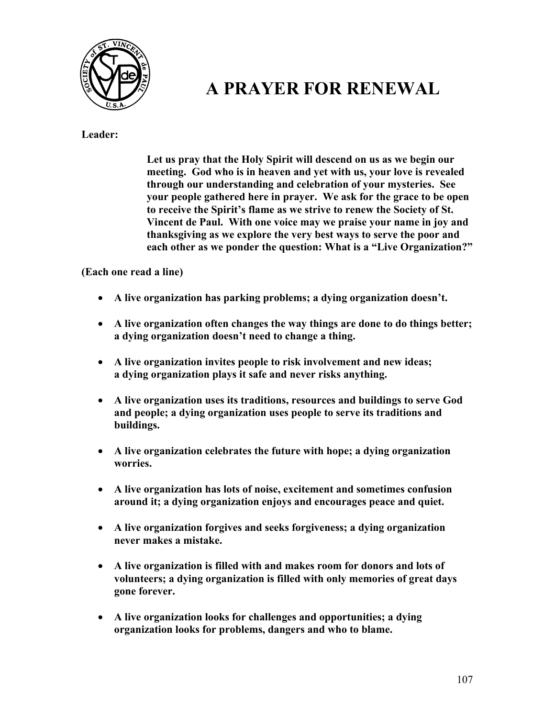

## **A PRAYER FOR RENEWAL**

**Leader:** 

**Let us pray that the Holy Spirit will descend on us as we begin our meeting. God who is in heaven and yet with us, your love is revealed through our understanding and celebration of your mysteries. See your people gathered here in prayer. We ask for the grace to be open to receive the Spirit's flame as we strive to renew the Society of St. Vincent de Paul. With one voice may we praise your name in joy and thanksgiving as we explore the very best ways to serve the poor and each other as we ponder the question: What is a "Live Organization?"** 

**(Each one read a line)** 

- **A live organization has parking problems; a dying organization doesn't.**
- **A live organization often changes the way things are done to do things better; a dying organization doesn't need to change a thing.**
- **A live organization invites people to risk involvement and new ideas; a dying organization plays it safe and never risks anything.**
- **A live organization uses its traditions, resources and buildings to serve God and people; a dying organization uses people to serve its traditions and buildings.**
- **A live organization celebrates the future with hope; a dying organization worries.**
- **A live organization has lots of noise, excitement and sometimes confusion around it; a dying organization enjoys and encourages peace and quiet.**
- **A live organization forgives and seeks forgiveness; a dying organization never makes a mistake.**
- **A live organization is filled with and makes room for donors and lots of volunteers; a dying organization is filled with only memories of great days gone forever.**
- **A live organization looks for challenges and opportunities; a dying organization looks for problems, dangers and who to blame.**